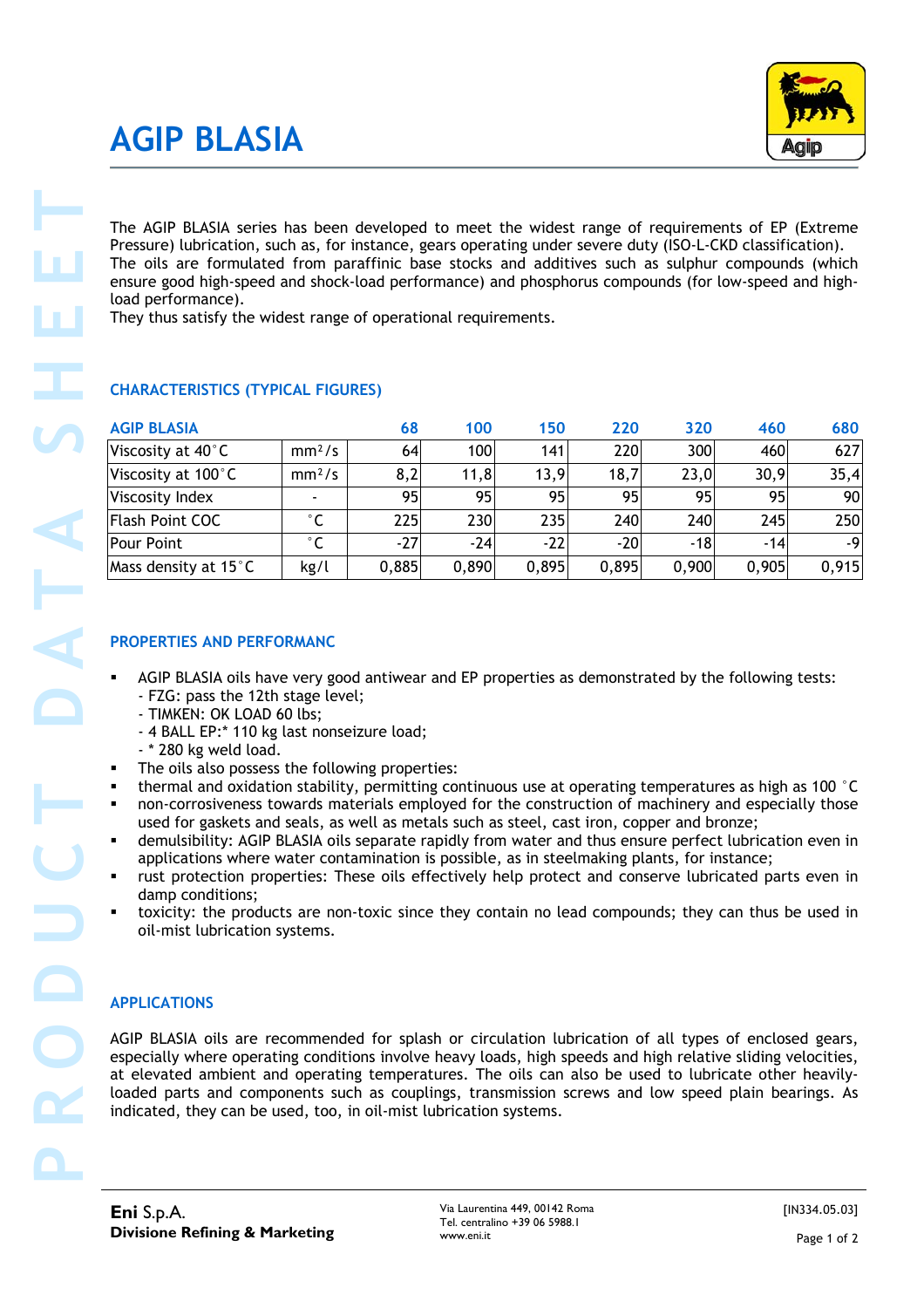## **AGIP BLASIA**

#### **CHARACTERISTICS (TYPICAL FIGURES)**

| <b>CHARACTERISTICS (TYPICAL FIGURES)</b>                                                                                                                                                                                                                                                                                                                                                                                                                                                                                                                                                                                                                                                                                                                                                                                                                                                                                       |                              | They thus satisfy the widest range of operational requirements. |              | The oils are formulated from paraffinic base stocks and additives such as sulphur compounds (which<br>ensure good high-speed and shock-load performance) and phosphorus compounds (for low-speed and high- |              |              |              |
|--------------------------------------------------------------------------------------------------------------------------------------------------------------------------------------------------------------------------------------------------------------------------------------------------------------------------------------------------------------------------------------------------------------------------------------------------------------------------------------------------------------------------------------------------------------------------------------------------------------------------------------------------------------------------------------------------------------------------------------------------------------------------------------------------------------------------------------------------------------------------------------------------------------------------------|------------------------------|-----------------------------------------------------------------|--------------|------------------------------------------------------------------------------------------------------------------------------------------------------------------------------------------------------------|--------------|--------------|--------------|
|                                                                                                                                                                                                                                                                                                                                                                                                                                                                                                                                                                                                                                                                                                                                                                                                                                                                                                                                |                              |                                                                 |              |                                                                                                                                                                                                            |              |              |              |
| <b>AGIP BLASIA</b>                                                                                                                                                                                                                                                                                                                                                                                                                                                                                                                                                                                                                                                                                                                                                                                                                                                                                                             |                              | 68                                                              | 100          | 150                                                                                                                                                                                                        | 220          | 320          | 460          |
| Viscosity at 40°C                                                                                                                                                                                                                                                                                                                                                                                                                                                                                                                                                                                                                                                                                                                                                                                                                                                                                                              | mm <sup>2</sup> /s           | 64                                                              | 100          | 141                                                                                                                                                                                                        | 220          | 300          | 460          |
| Viscosity at 100°C                                                                                                                                                                                                                                                                                                                                                                                                                                                                                                                                                                                                                                                                                                                                                                                                                                                                                                             | mm <sup>2</sup> /s           | 8,2                                                             | 11,8         | 13,9                                                                                                                                                                                                       | 18,7         | 23,0         | 30,9         |
| Viscosity Index                                                                                                                                                                                                                                                                                                                                                                                                                                                                                                                                                                                                                                                                                                                                                                                                                                                                                                                |                              | 95                                                              | 95           | 95                                                                                                                                                                                                         | 95           | 95           | 95           |
| <b>Flash Point COC</b><br>Pour Point                                                                                                                                                                                                                                                                                                                                                                                                                                                                                                                                                                                                                                                                                                                                                                                                                                                                                           | $^{\circ}$ C<br>$^{\circ}$ C | 225<br>$-27$                                                    | 230<br>$-24$ | 235<br>$-22$                                                                                                                                                                                               | 240<br>$-20$ | 240<br>$-18$ | 245<br>$-14$ |
| Mass density at 15°C                                                                                                                                                                                                                                                                                                                                                                                                                                                                                                                                                                                                                                                                                                                                                                                                                                                                                                           | kg/l                         | 0,885                                                           | 0,890        | 0,895                                                                                                                                                                                                      | 0,895        | 0,900        | 0,905        |
|                                                                                                                                                                                                                                                                                                                                                                                                                                                                                                                                                                                                                                                                                                                                                                                                                                                                                                                                | - TIMKEN: OK LOAD 60 lbs;    |                                                                 |              |                                                                                                                                                                                                            |              |              |              |
| - 4 BALL EP:* 110 kg last nonseizure load;<br>- * 280 kg weld load.<br>The oils also possess the following properties:<br>thermal and oxidation stability, permitting continuous use at operating temperatures as high as 100 °C<br>٠<br>non-corrosiveness towards materials employed for the construction of machinery and especially those<br>٠<br>used for gaskets and seals, as well as metals such as steel, cast iron, copper and bronze;<br>demulsibility: AGIP BLASIA oils separate rapidly from water and thus ensure perfect lubrication even in<br>applications where water contamination is possible, as in steelmaking plants, for instance;<br>rust protection properties: These oils effectively help protect and conserve lubricated parts even in<br>damp conditions;<br>toxicity: the products are non-toxic since they contain no lead compounds; they can thus be used in<br>oil-mist lubrication systems. |                              |                                                                 |              |                                                                                                                                                                                                            |              |              |              |

#### **PROPERTIES AND PERFORMANC**

- AGIP BLASIA oils have very good antiwear and EP properties as demonstrated by the following tests: - FZG: pass the 12th stage level;
	- TIMKEN: OK LOAD 60 lbs;
	- 4 BALL EP:\* 110 kg last nonseizure load;
	- \* 280 kg weld load.
- The oils also possess the following properties:
- thermal and oxidation stability, permitting continuous use at operating temperatures as high as 100 °C
- non-corrosiveness towards materials employed for the construction of machinery and especially those used for gaskets and seals, as well as metals such as steel, cast iron, copper and bronze;
- demulsibility: AGIP BLASIA oils separate rapidly from water and thus ensure perfect lubrication even in applications where water contamination is possible, as in steelmaking plants, for instance;
- rust protection properties: These oils effectively help protect and conserve lubricated parts even in damp conditions;
- toxicity: the products are non-toxic since they contain no lead compounds; they can thus be used in oil-mist lubrication systems.

#### **APPLICATIONS**